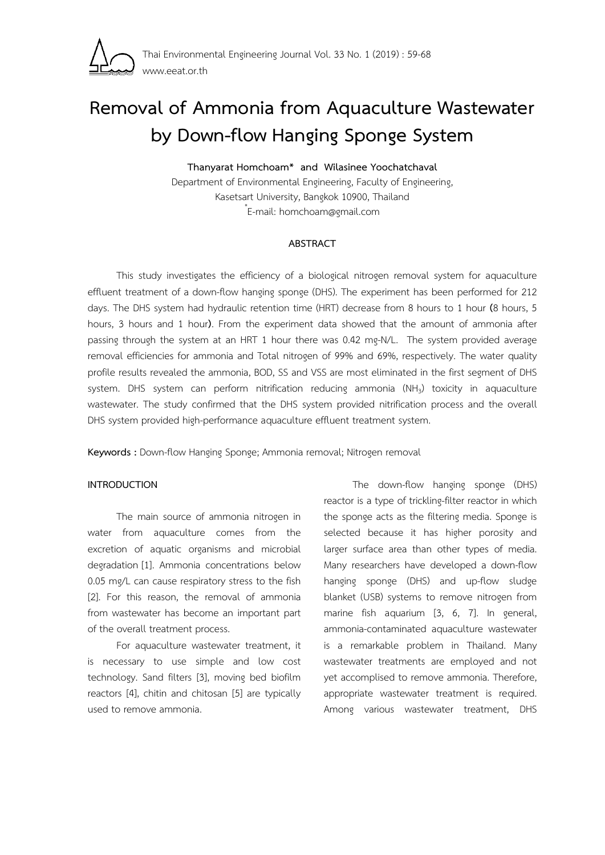

# **Removal of Ammonia from Aquaculture Wastewater by Down-flow Hanging Sponge System Thanyarat Homchoam\* and Wilasinee Yoochatchaval**

Department of Environmental Engineering, Faculty of Engineering, Kasetsart University, Bangkok 10900, Thailand \* E-mail: homchoam@gmail.com

## **ABSTRACT**

This study investigates the efficiency of a biological nitrogen removal system for aquaculture effluent treatment of a down-flow hanging sponge (DHS). The experiment has been performed for 212 days. The DHS system had hydraulic retention time (HRT) decrease from 8 hours to 1 hour **(**8 hours, 5 hours, 3 hours and 1 hour**)**. From the experiment data showed that the amount of ammonia after passing through the system at an HRT 1 hour there was 0.42 mg-N/L. The system provided average removal efficiencies for ammonia and Total nitrogen of 99% and 69%, respectively. The water quality profile results revealed the ammonia, BOD, SS and VSS are most eliminated in the first segment of DHS system. DHS system can perform nitrification reducing ammonia (NH<sub>3</sub>) toxicity in aquaculture wastewater. The study confirmed that the DHS system provided nitrification process and the overall DHS system provided high-performance aquaculture effluent treatment system.

**Keywords :** Down-flow Hanging Sponge; Ammonia removal; Nitrogen removal

## **INTRODUCTION**

The main source of ammonia nitrogen in water from aquaculture comes from the excretion of aquatic organisms and microbial degradation [1]. Ammonia concentrations below 0.05 mg/L can cause respiratory stress to the fish [2]. For this reason, the removal of ammonia from wastewater has become an important part of the overall treatment process.

 For aquaculture wastewater treatment, it is necessary to use simple and low cost technology. Sand filters [3], moving bed biofilm reactors [4], chitin and chitosan [5] are typically used to remove ammonia.

 The down-flow hanging sponge (DHS) reactor is a type of trickling-filter reactor in which the sponge acts as the filtering media. Sponge is selected because it has higher porosity and larger surface area than other types of media. Many researchers have developed a down-flow hanging sponge (DHS) and up-flow sludge blanket (USB) systems to remove nitrogen from marine fish aquarium [3, 6, 7]. In general, ammonia-contaminated aquaculture wastewater is a remarkable problem in Thailand. Many wastewater treatments are employed and not yet accomplised to remove ammonia. Therefore, appropriate wastewater treatment is required. Among various wastewater treatment, DHS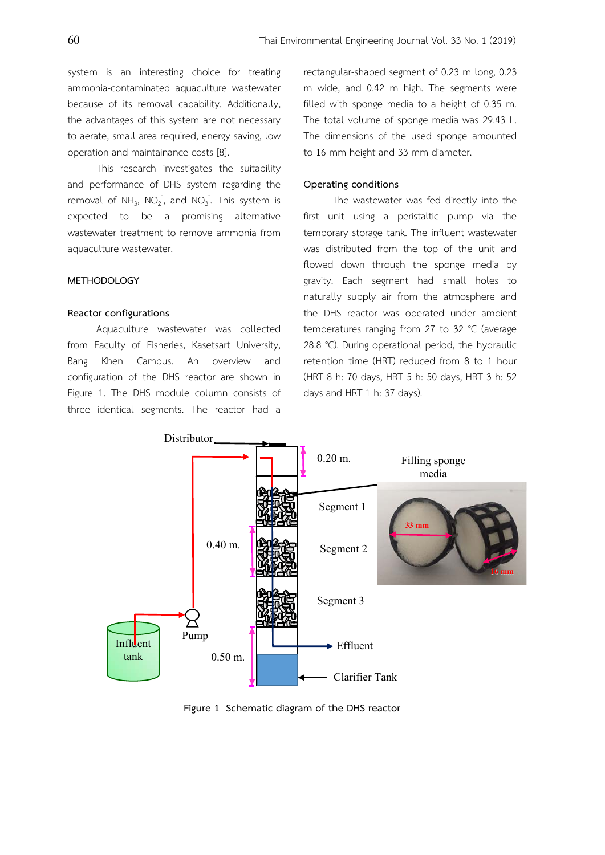system is an interesting choice for treating ammonia-contaminated aquaculture wastewater because of its removal capability. Additionally, the advantages of this system are not necessary to aerate, small area required, energy saving, low operation and maintainance costs [8].

 This research investigates the suitability and performance of DHS system regarding the removal of NH<sub>3</sub>, NO<sub>2</sub>, and NO<sub>3</sub>. This system is expected to be a promising alternative wastewater treatment to remove ammonia from aquaculture wastewater.

## **METHODOLOGY**

#### **Reactor configurations**

Aquaculture wastewater was collected from Faculty of Fisheries, Kasetsart University, Bang Khen Campus. An overview and configuration of the DHS reactor are shown in Figure 1. The DHS module column consists of three identical segments. The reactor had a rectangular-shaped segment of 0.23 m long, 0.23 m wide, and 0.42 m high. The segments were filled with sponge media to a height of 0.35 m. The total volume of sponge media was 29.43 L. The dimensions of the used sponge amounted to 16 mm height and 33 mm diameter.

## **Operating conditions**

The wastewater was fed directly into the first unit using a peristaltic pump via the temporary storage tank. The influent wastewater was distributed from the top of the unit and flowed down through the sponge media by gravity. Each segment had small holes to naturally supply air from the atmosphere and the DHS reactor was operated under ambient temperatures ranging from 27 to 32 °C (average 28.8 °C). During operational period, the hydraulic retention time (HRT) reduced from 8 to 1 hour (HRT 8 h: 70 days, HRT 5 h: 50 days, HRT 3 h: 52 days and HRT 1 h: 37 days).



**Figure 1 Schematic diagram of the DHS reactor**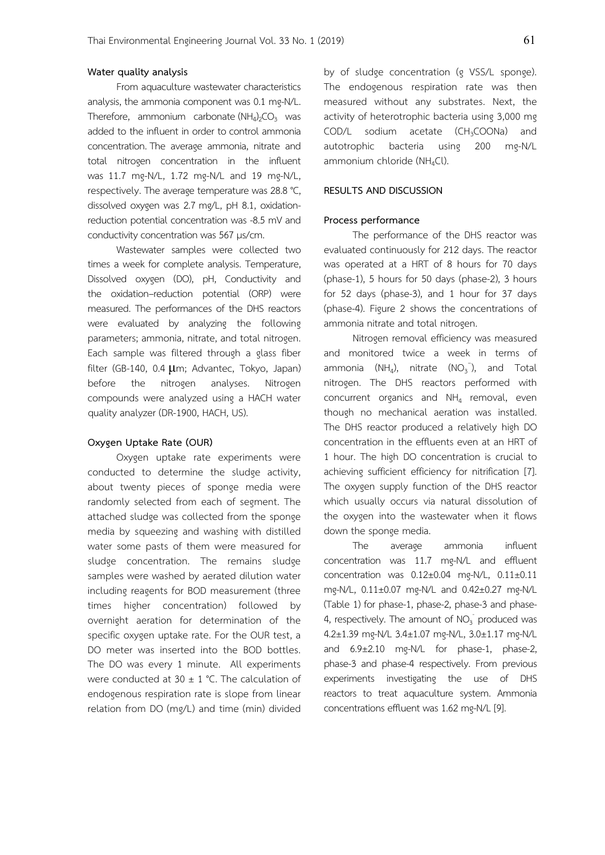## **Water quality analysis**

 From aquaculture wastewater characteristics analysis, the ammonia component was 0.1 mg-N/L. Therefore, ammonium carbonate  $(NH_4)_2CO_3$  was added to the influent in order to control ammonia concentration. The average ammonia, nitrate and total nitrogen concentration in the influent was 11.7 mg-N/L, 1.72 mg-N/L and 19 mg-N/L, respectively. The average temperature was 28.8 °C, dissolved oxygen was 2.7 mg/L, pH 8.1, oxidationreduction potential concentration was -8.5 mV and conductivity concentration was 567 μs/cm.

 Wastewater samples were collected two times a week for complete analysis. Temperature, Dissolved oxygen (DO), pH, Conductivity and the oxidation–reduction potential (ORP) were measured. The performances of the DHS reactors were evaluated by analyzing the following parameters; ammonia, nitrate, and total nitrogen. Each sample was filtered through a glass fiber filter (GB-140, 0.4 μm; Advantec, Tokyo, Japan) before the nitrogen analyses. Nitrogen compounds were analyzed using a HACH water quality analyzer (DR-1900, HACH, US).

## **Oxygen Uptake Rate (OUR)**

Oxygen uptake rate experiments were conducted to determine the sludge activity, about twenty pieces of sponge media were randomly selected from each of segment. The attached sludge was collected from the sponge media by squeezing and washing with distilled water some pasts of them were measured for sludge concentration. The remains sludge samples were washed by aerated dilution water including reagents for BOD measurement (three times higher concentration) followed by overnight aeration for determination of the specific oxygen uptake rate. For the OUR test, a DO meter was inserted into the BOD bottles. The DO was every 1 minute. All experiments were conducted at 30  $\pm$  1 °C. The calculation of endogenous respiration rate is slope from linear relation from DO (mg/L) and time (min) divided by of sludge concentration (g VSS/L sponge). The endogenous respiration rate was then measured without any substrates. Next, the activity of heterotrophic bacteria using 3,000 mg COD/L sodium acetate (CH<sub>3</sub>COONa) and autotrophic bacteria using 200 mg-N/L ammonium chloride (NH<sub>4</sub>Cl).

#### **RESULTS AND DISCUSSION**

## **Process performance**

 The performance of the DHS reactor was evaluated continuously for 212 days. The reactor was operated at a HRT of 8 hours for 70 days (phase-1), 5 hours for 50 days (phase-2), 3 hours for 52 days (phase-3), and 1 hour for 37 days (phase-4). Figure 2 shows the concentrations of ammonia nitrate and total nitrogen.

 Nitrogen removal efficiency was measured and monitored twice a week in terms of ammonia (NH<sub>4</sub>), nitrate (NO<sub>3</sub><sup>-</sup>), and Total nitrogen. The DHS reactors performed with concurrent organics and  $NH<sub>4</sub>$  removal, even though no mechanical aeration was installed. The DHS reactor produced a relatively high DO concentration in the effluents even at an HRT of 1 hour. The high DO concentration is crucial to achieving sufficient efficiency for nitrification [7]. The oxygen supply function of the DHS reactor which usually occurs via natural dissolution of the oxygen into the wastewater when it flows down the sponge media.

 The average ammonia influent concentration was 11.7 mg-N/L and effluent concentration was 0.12±0.04 mg-N/L, 0.11±0.11 mg-N/L, 0.11±0.07 mg-N/L and 0.42±0.27 mg-N/L (Table 1) for phase-1, phase-2, phase-3 and phase-4, respectively. The amount of  $NO<sub>3</sub>$  produced was 4.2±1.39 mg-N/L 3.4±1.07 mg-N/L, 3.0±1.17 mg-N/L and 6.9±2.10 mg-N/L for phase-1, phase-2, phase-3 and phase-4 respectively. From previous experiments investigating the use of DHS reactors to treat aquaculture system. Ammonia concentrations effluent was 1.62 mg-N/L [9].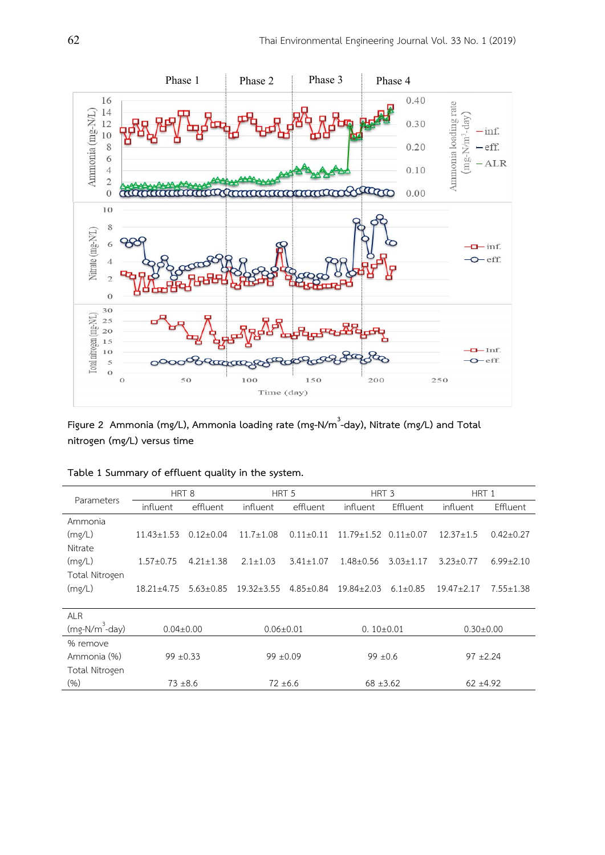

Figure 2 Ammonia (mg/L), Ammonia loading rate (mg-N/m<sup>3</sup>-day), Nitrate (mg/L) and Total **nitrogen (mg/L) versus time** 

| Parameters        | HRT <sub>8</sub> |                 | HRT <sub>5</sub> |                 | HRT <sub>3</sub> |                 | HRT 1           |                 |
|-------------------|------------------|-----------------|------------------|-----------------|------------------|-----------------|-----------------|-----------------|
|                   | influent         | effluent        | influent         | effluent        | influent         | Effluent        | influent        | <b>Effluent</b> |
| Ammonia           |                  |                 |                  |                 |                  |                 |                 |                 |
| (mq/L)            | $11.43 \pm 1.53$ | $0.12 \pm 0.04$ | $11.7 + 1.08$    | $0.11 + 0.11$   | $11.79 + 1.52$   | $0.11 + 0.07$   | $12.37 \pm 1.5$ | $0.42 \pm 0.27$ |
| Nitrate           |                  |                 |                  |                 |                  |                 |                 |                 |
| (mg/L)            | $1.57 \pm 0.75$  | $4.21 \pm 1.38$ | $2.1 \pm 1.03$   | $3.41 \pm 1.07$ | $1.48 \pm 0.56$  | $3.03 \pm 1.17$ | $3.23 \pm 0.77$ | $6.99 \pm 2.10$ |
| Total Nitrogen    |                  |                 |                  |                 |                  |                 |                 |                 |
| (mq/L)            | $18.21 \pm 4.75$ | $5.63 \pm 0.85$ | $19.32 \pm 3.55$ | $4.85 \pm 0.84$ | $19.84 + 2.03$   | $6.1 \pm 0.85$  | $19.47 + 2.17$  | $7.55 \pm 1.38$ |
|                   |                  |                 |                  |                 |                  |                 |                 |                 |
| <b>ALR</b>        |                  |                 |                  |                 |                  |                 |                 |                 |
| $(mg-N/m^3$ -day) | $0.04 \pm 0.00$  |                 | $0.06 \pm 0.01$  |                 | $0.10 \pm 0.01$  |                 | $0.30 \pm 0.00$ |                 |
| % remove          |                  |                 |                  |                 |                  |                 |                 |                 |
| Ammonia (%)       | $99 \pm 0.33$    |                 | $99 \pm 0.09$    |                 | $99 \pm 0.6$     |                 | $97 + 2.24$     |                 |
| Total Nitrogen    |                  |                 |                  |                 |                  |                 |                 |                 |
| $(\% )$           | $73 + 8.6$       |                 | $72 \pm 6.6$     |                 | $68 \pm 3.62$    |                 | $62 + 4.92$     |                 |

|  |  | Table 1 Summary of effluent quality in the system. |
|--|--|----------------------------------------------------|
|  |  |                                                    |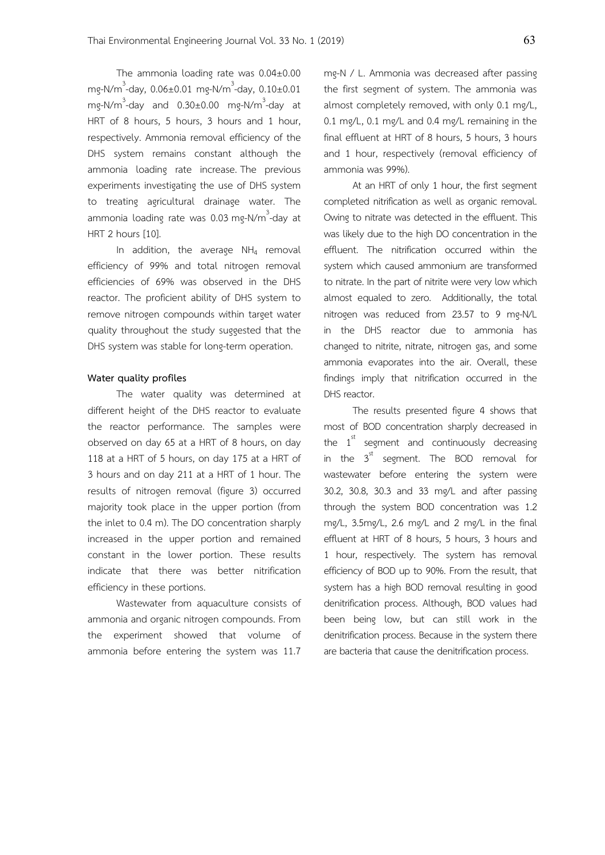The ammonia loading rate was 0.04±0.00 mg-N/m<sup>3</sup>-day, 0.06±0.01 mg-N/m<sup>3</sup>-day, 0.10±0.01 mg-N/m<sup>3</sup>-day and 0.30±0.00 mg-N/m<sup>3</sup>-day at HRT of 8 hours, 5 hours, 3 hours and 1 hour, respectively. Ammonia removal efficiency of the DHS system remains constant although the ammonia loading rate increase. The previous experiments investigating the use of DHS system to treating agricultural drainage water. The ammonia loading rate was 0.03 mg-N/m<sup>3</sup>-day at HRT 2 hours [10].

In addition, the average  $NH_4$  removal efficiency of 99% and total nitrogen removal efficiencies of 69% was observed in the DHS reactor. The proficient ability of DHS system to remove nitrogen compounds within target water quality throughout the study suggested that the DHS system was stable for long-term operation.

#### **Water quality profiles**

 The water quality was determined at different height of the DHS reactor to evaluate the reactor performance. The samples were observed on day 65 at a HRT of 8 hours, on day 118 at a HRT of 5 hours, on day 175 at a HRT of 3 hours and on day 211 at a HRT of 1 hour. The results of nitrogen removal (figure 3) occurred majority took place in the upper portion (from the inlet to 0.4 m). The DO concentration sharply increased in the upper portion and remained constant in the lower portion. These results indicate that there was better nitrification efficiency in these portions.

Wastewater from aquaculture consists of ammonia and organic nitrogen compounds. From the experiment showed that volume of ammonia before entering the system was 11.7 mg-N / L. Ammonia was decreased after passing the first segment of system. The ammonia was almost completely removed, with only 0.1 mg/L, 0.1 mg/L, 0.1 mg/L and 0.4 mg/L remaining in the final effluent at HRT of 8 hours, 5 hours, 3 hours and 1 hour, respectively (removal efficiency of ammonia was 99%).

At an HRT of only 1 hour, the first segment completed nitrification as well as organic removal. Owing to nitrate was detected in the effluent. This was likely due to the high DO concentration in the effluent. The nitrification occurred within the system which caused ammonium are transformed to nitrate. In the part of nitrite were very low which almost equaled to zero. Additionally, the total nitrogen was reduced from 23.57 to 9 mg-N/L in the DHS reactor due to ammonia has changed to nitrite, nitrate, nitrogen gas, and some ammonia evaporates into the air. Overall, these findings imply that nitrification occurred in the DHS reactor.

The results presented figure 4 shows that most of BOD concentration sharply decreased in the  $1<sup>st</sup>$  segment and continuously decreasing in the  $3^{\text{st}}$  segment. The BOD removal for wastewater before entering the system were 30.2, 30.8, 30.3 and 33 mg/L and after passing through the system BOD concentration was 1.2 mg/L, 3.5mg/L, 2.6 mg/L and 2 mg/L in the final effluent at HRT of 8 hours, 5 hours, 3 hours and 1 hour, respectively. The system has removal efficiency of BOD up to 90%. From the result, that system has a high BOD removal resulting in good denitrification process. Although, BOD values had been being low, but can still work in the denitrification process. Because in the system there are bacteria that cause the denitrification process.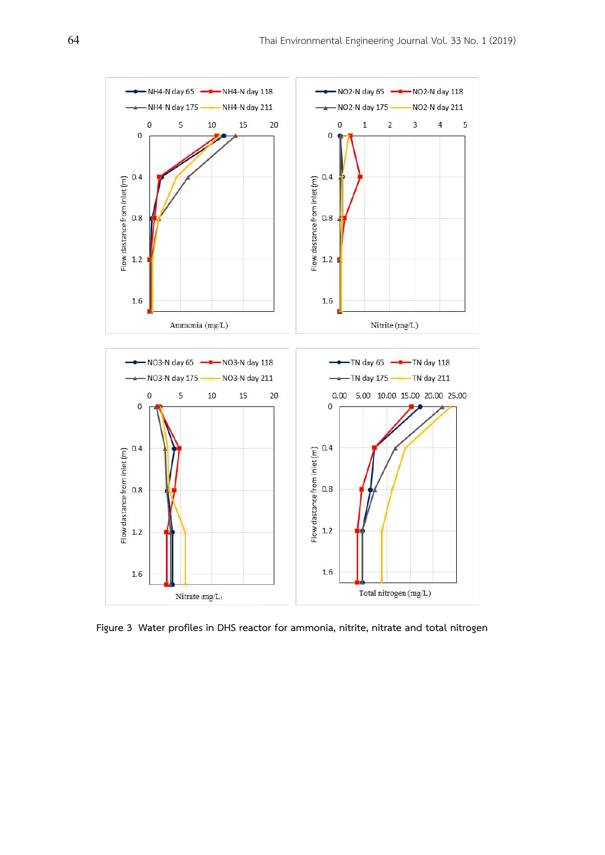

**Figure 3 Water profiles in DHS reactor for ammonia, nitrite, nitrate and total nitrogen**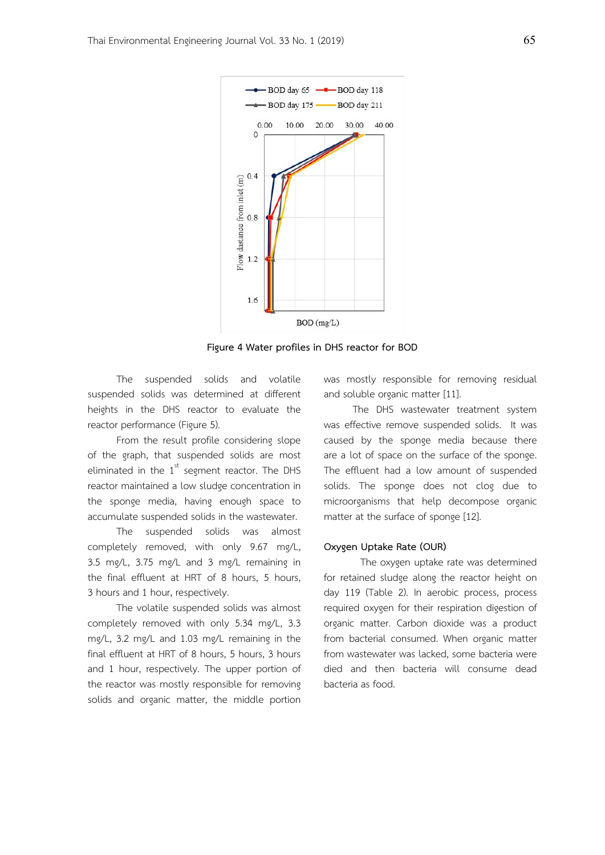

**Figure 4 Water profiles in DHS reactor for BOD** 

The suspended solids and volatile suspended solids was determined at different heights in the DHS reactor to evaluate the reactor performance (Figure 5).

From the result profile considering slope of the graph, that suspended solids are most eliminated in the  $1<sup>st</sup>$  segment reactor. The DHS reactor maintained a low sludge concentration in the sponge media, having enough space to accumulate suspended solids in the wastewater.

The suspended solids was almost completely removed, with only 9.67 mg/L, 3.5 mg/L, 3.75 mg/L and 3 mg/L remaining in the final effluent at HRT of 8 hours, 5 hours, 3 hours and 1 hour, respectively.

The volatile suspended solids was almost completely removed with only 5.34 mg/L, 3.3 mg/L, 3.2 mg/L and 1.03 mg/L remaining in the final effluent at HRT of 8 hours, 5 hours, 3 hours and 1 hour, respectively. The upper portion of the reactor was mostly responsible for removing solids and organic matter, the middle portion was mostly responsible for removing residual and soluble organic matter [11].

The DHS wastewater treatment system was effective remove suspended solids. It was caused by the sponge media because there are a lot of space on the surface of the sponge. The effluent had a low amount of suspended solids. The sponge does not clog due to microorganisms that help decompose organic matter at the surface of sponge [12].

#### **Oxygen Uptake Rate (OUR)**

 The oxygen uptake rate was determined for retained sludge along the reactor height on day 119 (Table 2). In aerobic process, process required oxygen for their respiration digestion of organic matter. Carbon dioxide was a product from bacterial consumed. When organic matter from wastewater was lacked, some bacteria were died and then bacteria will consume dead bacteria as food.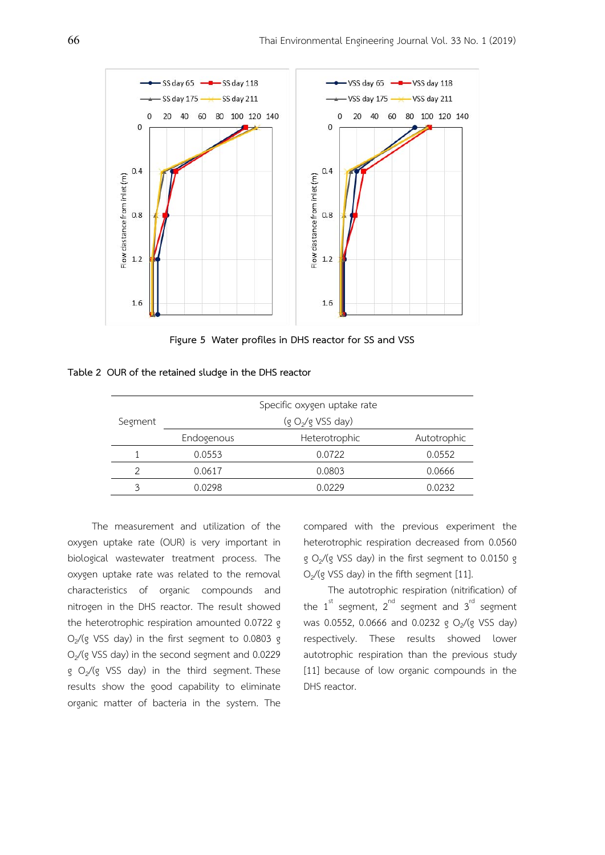

**Figure 5 Water profiles in DHS reactor for SS and VSS** 

|         | Specific oxygen uptake rate   |               |             |  |  |  |
|---------|-------------------------------|---------------|-------------|--|--|--|
| Segment | (g O <sub>2</sub> /g VSS day) |               |             |  |  |  |
|         | Endogenous                    | Heterotrophic | Autotrophic |  |  |  |
|         | 0.0553                        | 0.0722        | 0.0552      |  |  |  |
|         | 0.0617                        | 0.0803        | 0.0666      |  |  |  |
| 2       | 0.0298                        | 0.0229        | 0.0232      |  |  |  |

 The measurement and utilization of the oxygen uptake rate (OUR) is very important in biological wastewater treatment process. The oxygen uptake rate was related to the removal characteristics of organic compounds and nitrogen in the DHS reactor. The result showed the heterotrophic respiration amounted 0.0722 g  $O<sub>2</sub>/(g VSS day)$  in the first segment to 0.0803 g  $O<sub>2</sub>$ /(g VSS day) in the second segment and 0.0229 g  $O_2/(g$  VSS day) in the third segment. These results show the good capability to eliminate organic matter of bacteria in the system. The

compared with the previous experiment the heterotrophic respiration decreased from 0.0560 g  $O<sub>2</sub>/(g VSS day)$  in the first segment to 0.0150 g  $O<sub>2</sub>$ /(g VSS day) in the fifth segment [11].

 The autotrophic respiration (nitrification) of the  $1^{st}$  segment,  $2^{nd}$  segment and  $3^{rd}$  segment was 0.0552, 0.0666 and 0.0232 g  $O_2/(g$  VSS day) respectively. These results showed lower autotrophic respiration than the previous study [11] because of low organic compounds in the DHS reactor.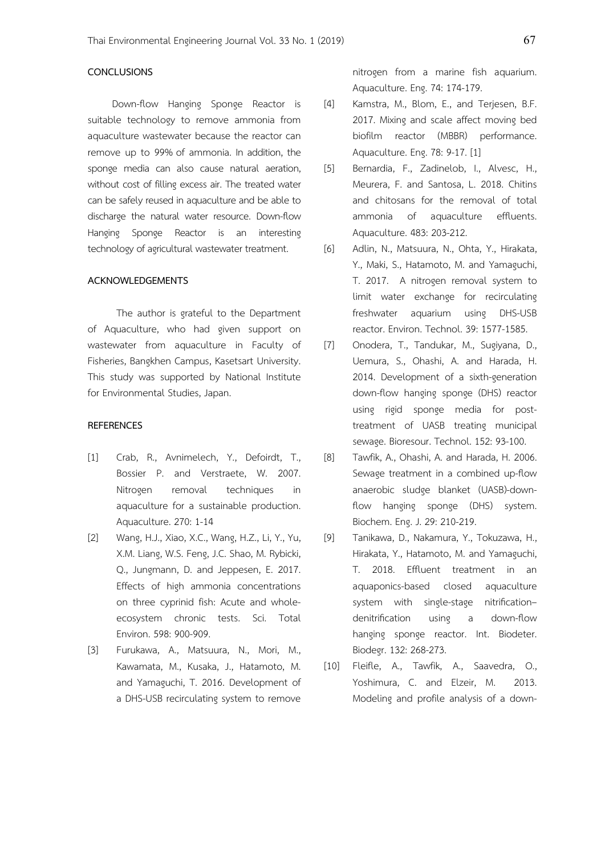## **CONCLUSIONS**

 Down-flow Hanging Sponge Reactor is suitable technology to remove ammonia from aquaculture wastewater because the reactor can remove up to 99% of ammonia. In addition, the sponge media can also cause natural aeration, without cost of filling excess air. The treated water can be safely reused in aquaculture and be able to discharge the natural water resource. Down-flow Hanging Sponge Reactor is an interesting technology of agricultural wastewater treatment.

#### **ACKNOWLEDGEMENTS**

The author is grateful to the Department of Aquaculture, who had given support on wastewater from aquaculture in Faculty of Fisheries, Bangkhen Campus, Kasetsart University. This study was supported by National Institute for Environmental Studies, Japan.

## **REFERENCES**

- [1]Crab, R., Avnimelech, Y., Defoirdt, T., Bossier P. and Verstraete, W. 2007. Nitrogen removal techniques in aquaculture for a sustainable production. Aquaculture. 270: 1-14
- [2] Wang, H.J., Xiao, X.C., Wang, H.Z., Li, Y., Yu, X.M. Liang, W.S. Feng, J.C. Shao, M. Rybicki, Q., Jungmann, D. and Jeppesen, E. 2017. Effects of high ammonia concentrations on three cyprinid fish: Acute and wholeecosystem chronic tests. Sci. Total Environ. 598: 900-909.
- [3] Furukawa, A., Matsuura, N., Mori, M., Kawamata, M., Kusaka, J., Hatamoto, M. and Yamaguchi, T. 2016. Development of a DHS-USB recirculating system to remove

nitrogen from a marine fish aquarium. Aquaculture. Eng. 74: 174-179.

- [4] Kamstra, M., Blom, E., and Terjesen, B.F. 2017. Mixing and scale affect moving bed biofilm reactor (MBBR) performance. Aquaculture. Eng. 78: 9-17. [1]
- [5] Bernardia, F., Zadinelob, I., Alvesc, H., Meurera, F. and Santosa, L. 2018. Chitins and chitosans for the removal of total ammonia of aquaculture effluents. Aquaculture. 483: 203-212.
- [6] Adlin, N., Matsuura, N., Ohta, Y., Hirakata, Y., Maki, S., Hatamoto, M. and Yamaguchi, T. 2017. A nitrogen removal system to limit water exchange for recirculating freshwater aquarium using DHS-USB reactor. Environ. Technol. 39: 1577-1585.
- [7] Onodera, T., Tandukar, M., Sugiyana, D., Uemura, S., Ohashi, A. and Harada, H. 2014. Development of a sixth-generation down-flow hanging sponge (DHS) reactor using rigid sponge media for posttreatment of UASB treating municipal sewage. Bioresour. Technol. 152: 93-100.
- [8] Tawfik, A., Ohashi, A. and Harada, H. 2006. Sewage treatment in a combined up-flow anaerobic sludge blanket (UASB)-downflow hanging sponge (DHS) system. Biochem. Eng. J. 29: 210-219.
- [9] Tanikawa, D., Nakamura, Y., Tokuzawa, H., Hirakata, Y., Hatamoto, M. and Yamaguchi, T. 2018. Effluent treatment in an aquaponics-based closed aquaculture system with single-stage nitrification– denitrification using a down-flow hanging sponge reactor. Int. Biodeter. Biodegr. 132: 268-273.
- [10] Fleifle, A., Tawfik, A., Saavedra, O., Yoshimura, C. and Elzeir, M. 2013. Modeling and profile analysis of a down-